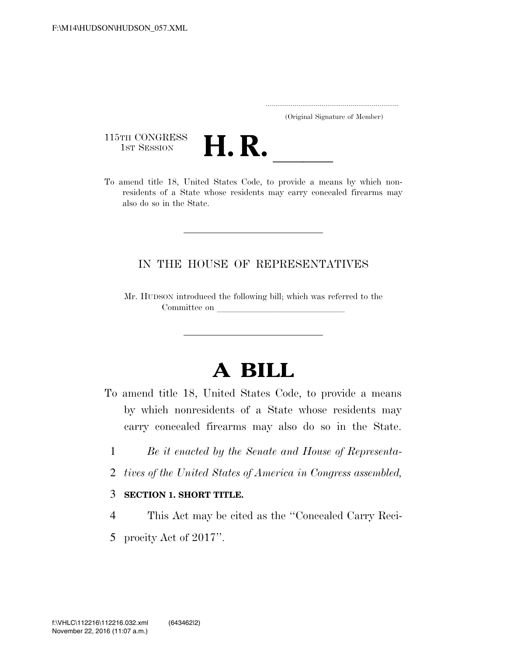..................................................................... (Original Signature of Member)

115TH CONGRESS<br>1st Session



115TH CONGRESS<br>1st SESSION **H. R.** <u>Inited States Code</u>, to provide a means by which nonresidents of a State whose residents may carry concealed firearms may also do so in the State.

## IN THE HOUSE OF REPRESENTATIVES

Mr. HUDSON introduced the following bill; which was referred to the Committee on

## **A BILL**

- To amend title 18, United States Code, to provide a means by which nonresidents of a State whose residents may carry concealed firearms may also do so in the State.
	- 1 *Be it enacted by the Senate and House of Representa-*
	- 2 *tives of the United States of America in Congress assembled,*
	- 3 **SECTION 1. SHORT TITLE.**
	- 4 This Act may be cited as the ''Concealed Carry Reci-
	- 5 procity Act of 2017''.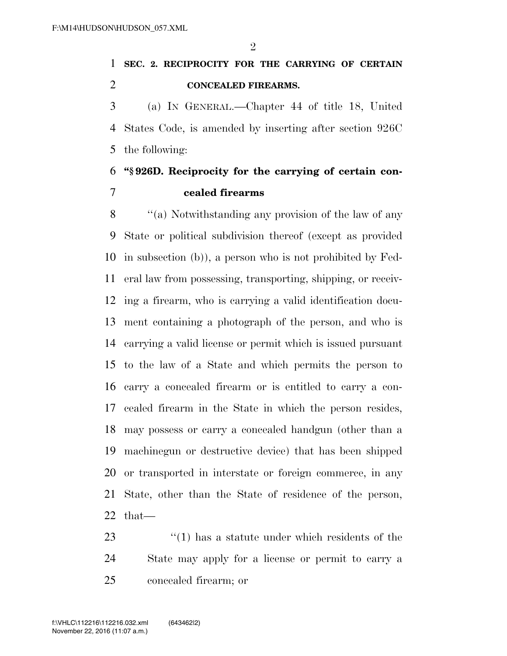$\mathfrak{D}$ 

## **SEC. 2. RECIPROCITY FOR THE CARRYING OF CERTAIN CONCEALED FIREARMS.**

 (a) IN GENERAL.—Chapter 44 of title 18, United States Code, is amended by inserting after section 926C the following:

## **''§ 926D. Reciprocity for the carrying of certain con-cealed firearms**

 ''(a) Notwithstanding any provision of the law of any State or political subdivision thereof (except as provided in subsection (b)), a person who is not prohibited by Fed- eral law from possessing, transporting, shipping, or receiv- ing a firearm, who is carrying a valid identification docu- ment containing a photograph of the person, and who is carrying a valid license or permit which is issued pursuant to the law of a State and which permits the person to carry a concealed firearm or is entitled to carry a con- cealed firearm in the State in which the person resides, may possess or carry a concealed handgun (other than a machinegun or destructive device) that has been shipped or transported in interstate or foreign commerce, in any State, other than the State of residence of the person, that—

23 ''(1) has a statute under which residents of the State may apply for a license or permit to carry a concealed firearm; or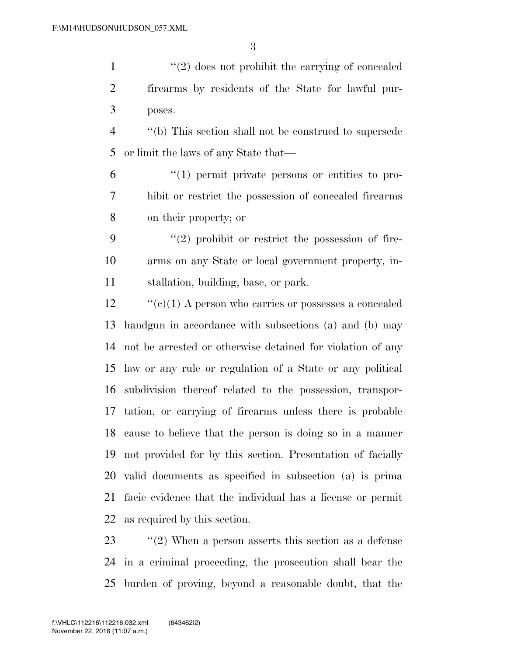1 ''(2) does not prohibit the carrying of concealed firearms by residents of the State for lawful pur-poses.

 ''(b) This section shall not be construed to supersede or limit the laws of any State that—

 ''(1) permit private persons or entities to pro- hibit or restrict the possession of concealed firearms on their property; or

 ''(2) prohibit or restrict the possession of fire- arms on any State or local government property, in-stallation, building, base, or park.

 ''(c)(1) A person who carries or possesses a concealed handgun in accordance with subsections (a) and (b) may not be arrested or otherwise detained for violation of any law or any rule or regulation of a State or any political subdivision thereof related to the possession, transpor- tation, or carrying of firearms unless there is probable cause to believe that the person is doing so in a manner not provided for by this section. Presentation of facially valid documents as specified in subsection (a) is prima facie evidence that the individual has a license or permit as required by this section.

 ''(2) When a person asserts this section as a defense in a criminal proceeding, the prosecution shall bear the burden of proving, beyond a reasonable doubt, that the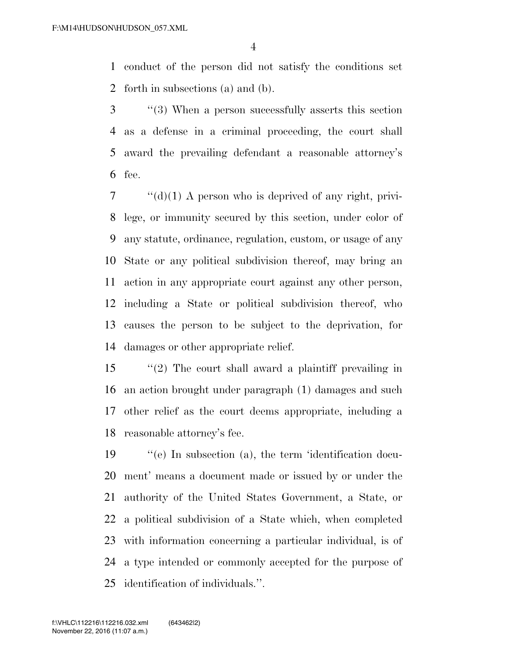conduct of the person did not satisfy the conditions set forth in subsections (a) and (b).

 ''(3) When a person successfully asserts this section as a defense in a criminal proceeding, the court shall award the prevailing defendant a reasonable attorney's fee.

 ''(d)(1) A person who is deprived of any right, privi- lege, or immunity secured by this section, under color of any statute, ordinance, regulation, custom, or usage of any State or any political subdivision thereof, may bring an action in any appropriate court against any other person, including a State or political subdivision thereof, who causes the person to be subject to the deprivation, for damages or other appropriate relief.

 ''(2) The court shall award a plaintiff prevailing in an action brought under paragraph (1) damages and such other relief as the court deems appropriate, including a reasonable attorney's fee.

 ''(e) In subsection (a), the term 'identification docu- ment' means a document made or issued by or under the authority of the United States Government, a State, or a political subdivision of a State which, when completed with information concerning a particular individual, is of a type intended or commonly accepted for the purpose of identification of individuals.''.